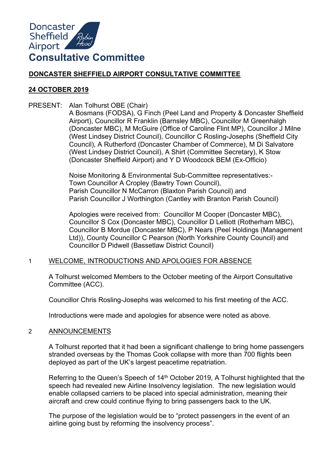

# **DONCASTER SHEFFIELD AIRPORT CONSULTATIVE COMMITTEE**

## **24 OCTOBER 2019**

PRESENT: Alan Tolhurst OBE (Chair)

A Bosmans (FODSA), G Finch (Peel Land and Property & Doncaster Sheffield Airport), Councillor R Franklin (Barnsley MBC), Councillor M Greenhalgh (Doncaster MBC), M McGuire (Office of Caroline Flint MP), Councillor J Milne (West Lindsey District Council), Councillor C Rosling-Josephs (Sheffield City Council), A Rutherford (Doncaster Chamber of Commerce), M Di Salvatore (West Lindsey District Council), A Shirt (Committee Secretary), K Stow (Doncaster Sheffield Airport) and Y D Woodcock BEM (Ex-Officio)

Noise Monitoring & Environmental Sub-Committee representatives:- Town Councillor A Cropley (Bawtry Town Council), Parish Councillor N McCarron (Blaxton Parish Council) and Parish Councillor J Worthington (Cantley with Branton Parish Council)

Apologies were received from: Councillor M Cooper (Doncaster MBC), Councillor S Cox (Doncaster MBC), Councillor D Lelliott (Rotherham MBC), Councillor B Mordue (Doncaster MBC), P Nears (Peel Holdings (Management Ltd)), County Councillor C Pearson (North Yorkshire County Council) and Councillor D Pidwell (Bassetlaw District Council)

## 1 WELCOME, INTRODUCTIONS AND APOLOGIES FOR ABSENCE

A Tolhurst welcomed Members to the October meeting of the Airport Consultative Committee (ACC).

Councillor Chris Rosling-Josephs was welcomed to his first meeting of the ACC.

Introductions were made and apologies for absence were noted as above.

## 2 ANNOUNCEMENTS

A Tolhurst reported that it had been a significant challenge to bring home passengers stranded overseas by the Thomas Cook collapse with more than 700 flights been deployed as part of the UK's largest peacetime repatriation.

Referring to the Queen's Speech of 14<sup>th</sup> October 2019, A Tolhurst highlighted that the speech had revealed new Airline Insolvency legislation. The new legislation would enable collapsed carriers to be placed into special administration, meaning their aircraft and crew could continue flying to bring passengers back to the UK.

The purpose of the legislation would be to "protect passengers in the event of an airline going bust by reforming the insolvency process".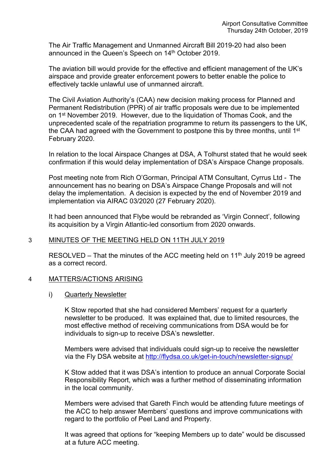The Air Traffic Management and Unmanned Aircraft Bill 2019-20 had also been announced in the Queen's Speech on 14<sup>th</sup> October 2019.

The aviation bill would provide for the effective and efficient management of the UK's airspace and provide greater enforcement powers to better enable the police to effectively tackle unlawful use of unmanned aircraft.

The Civil Aviation Authority's (CAA) new decision making process for Planned and Permanent Redistribution (PPR) of air traffic proposals were due to be implemented on 1<sup>st</sup> November 2019. However, due to the liquidation of Thomas Cook, and the unprecedented scale of the repatriation programme to return its passengers to the UK, the CAA had agreed with the Government to postpone this by three months, until 1<sup>st</sup> February 2020.

In relation to the local Airspace Changes at DSA, A Tolhurst stated that he would seek confirmation if this would delay implementation of DSA's Airspace Change proposals.

Post meeting note from Rich O'Gorman, Principal ATM Consultant, Cyrrus Ltd - The announcement has no bearing on DSA's Airspace Change Proposals and will not delay the implementation. A decision is expected by the end of November 2019 and implementation via AIRAC 03/2020 (27 February 2020).

It had been announced that Flybe would be rebranded as 'Virgin Connect', following its acquisition by a Virgin Atlantic-led consortium from 2020 onwards.

## 3 MINUTES OF THE MEETING HELD ON 11TH JULY 2019

RESOLVED – That the minutes of the ACC meeting held on  $11<sup>th</sup>$  July 2019 be agreed as a correct record.

### 4 MATTERS/ACTIONS ARISING

i) Quarterly Newsletter

K Stow reported that she had considered Members' request for a quarterly newsletter to be produced. It was explained that, due to limited resources, the most effective method of receiving communications from DSA would be for individuals to sign-up to receive DSA's newsletter.

Members were advised that individuals could sign-up to receive the newsletter via the Fly DSA website at <http://flydsa.co.uk/get-in-touch/newsletter-signup/>

K Stow added that it was DSA's intention to produce an annual Corporate Social Responsibility Report, which was a further method of disseminating information in the local community.

Members were advised that Gareth Finch would be attending future meetings of the ACC to help answer Members' questions and improve communications with regard to the portfolio of Peel Land and Property.

It was agreed that options for "keeping Members up to date" would be discussed at a future ACC meeting.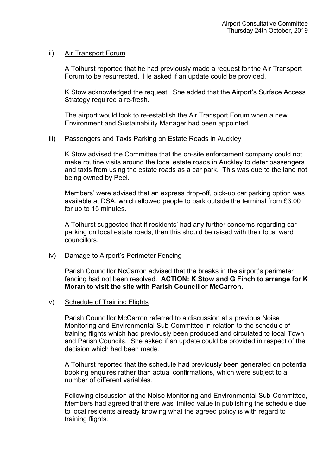## ii) Air Transport Forum

A Tolhurst reported that he had previously made a request for the Air Transport Forum to be resurrected. He asked if an update could be provided.

K Stow acknowledged the request. She added that the Airport's Surface Access Strategy required a re-fresh.

The airport would look to re-establish the Air Transport Forum when a new Environment and Sustainability Manager had been appointed.

### iii) Passengers and Taxis Parking on Estate Roads in Auckley

K Stow advised the Committee that the on-site enforcement company could not make routine visits around the local estate roads in Auckley to deter passengers and taxis from using the estate roads as a car park. This was due to the land not being owned by Peel.

Members' were advised that an express drop-off, pick-up car parking option was available at DSA, which allowed people to park outside the terminal from £3.00 for up to 15 minutes.

A Tolhurst suggested that if residents' had any further concerns regarding car parking on local estate roads, then this should be raised with their local ward councillors.

### iv) Damage to Airport's Perimeter Fencing

Parish Councillor NcCarron advised that the breaks in the airport's perimeter fencing had not been resolved. **ACTION: K Stow and G Finch to arrange for K Moran to visit the site with Parish Councillor McCarron.** 

### v) Schedule of Training Flights

Parish Councillor McCarron referred to a discussion at a previous Noise Monitoring and Environmental Sub-Committee in relation to the schedule of training flights which had previously been produced and circulated to local Town and Parish Councils. She asked if an update could be provided in respect of the decision which had been made.

A Tolhurst reported that the schedule had previously been generated on potential booking enquires rather than actual confirmations, which were subject to a number of different variables.

Following discussion at the Noise Monitoring and Environmental Sub-Committee, Members had agreed that there was limited value in publishing the schedule due to local residents already knowing what the agreed policy is with regard to training flights.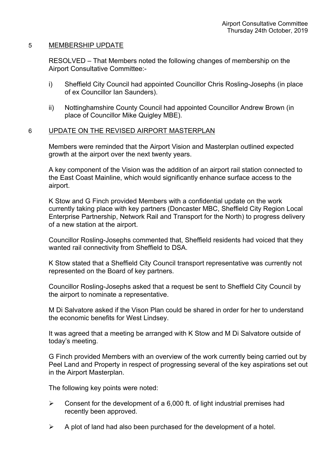### 5 MEMBERSHIP UPDATE

RESOLVED – That Members noted the following changes of membership on the Airport Consultative Committee:-

- i) Sheffield City Council had appointed Councillor Chris Rosling-Josephs (in place of ex Councillor Ian Saunders).
- ii) Nottinghamshire County Council had appointed Councillor Andrew Brown (in place of Councillor Mike Quigley MBE).

## 6 UPDATE ON THE REVISED AIRPORT MASTERPLAN

Members were reminded that the Airport Vision and Masterplan outlined expected growth at the airport over the next twenty years.

A key component of the Vision was the addition of an airport rail station connected to the East Coast Mainline, which would significantly enhance surface access to the airport.

K Stow and G Finch provided Members with a confidential update on the work currently taking place with key partners (Doncaster MBC, Sheffield City Region Local Enterprise Partnership, Network Rail and Transport for the North) to progress delivery of a new station at the airport.

Councillor Rosling-Josephs commented that, Sheffield residents had voiced that they wanted rail connectivity from Sheffield to DSA.

K Stow stated that a Sheffield City Council transport representative was currently not represented on the Board of key partners.

Councillor Rosling-Josephs asked that a request be sent to Sheffield City Council by the airport to nominate a representative.

M Di Salvatore asked if the Vison Plan could be shared in order for her to understand the economic benefits for West Lindsey.

It was agreed that a meeting be arranged with K Stow and M Di Salvatore outside of today's meeting.

G Finch provided Members with an overview of the work currently being carried out by Peel Land and Property in respect of progressing several of the key aspirations set out in the Airport Masterplan.

The following key points were noted:

- $\triangleright$  Consent for the development of a 6,000 ft. of light industrial premises had recently been approved.
- $\triangleright$  A plot of land had also been purchased for the development of a hotel.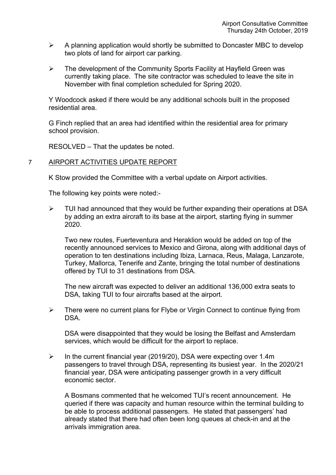- $\triangleright$  A planning application would shortly be submitted to Doncaster MBC to develop two plots of land for airport car parking.
- $\triangleright$  The development of the Community Sports Facility at Hayfield Green was currently taking place. The site contractor was scheduled to leave the site in November with final completion scheduled for Spring 2020.

Y Woodcock asked if there would be any additional schools built in the proposed residential area.

G Finch replied that an area had identified within the residential area for primary school provision.

RESOLVED – That the updates be noted.

## 7 AIRPORT ACTIVITIES UPDATE REPORT

K Stow provided the Committee with a verbal update on Airport activities.

The following key points were noted:-

 $\triangleright$  TUI had announced that they would be further expanding their operations at DSA by adding an extra aircraft to its base at the airport, starting flying in summer 2020.

Two new routes, Fuerteventura and Heraklion would be added on top of the recently announced services to Mexico and Girona, along with additional days of operation to ten destinations including Ibiza, Larnaca, Reus, Malaga, Lanzarote, Turkey, Mallorca, Tenerife and Zante, bringing the total number of destinations offered by TUI to 31 destinations from DSA.

The new aircraft was expected to deliver an additional 136,000 extra seats to DSA, taking TUI to four aircrafts based at the airport.

 $\triangleright$  There were no current plans for Flybe or Virgin Connect to continue flying from DSA.

DSA were disappointed that they would be losing the Belfast and Amsterdam services, which would be difficult for the airport to replace.

 $\triangleright$  In the current financial year (2019/20), DSA were expecting over 1.4m passengers to travel through DSA, representing its busiest year. In the 2020/21 financial year, DSA were anticipating passenger growth in a very difficult economic sector.

A Bosmans commented that he welcomed TUI's recent announcement. He queried if there was capacity and human resource within the terminal building to be able to process additional passengers. He stated that passengers' had already stated that there had often been long queues at check-in and at the arrivals immigration area.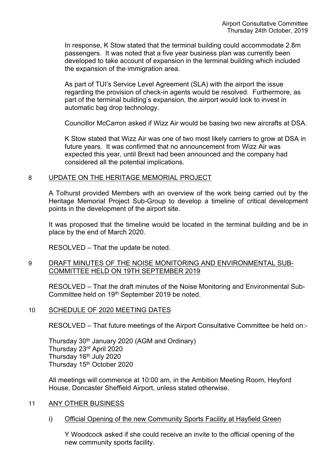In response, K Stow stated that the terminal building could accommodate 2.8m passengers. It was noted that a five year business plan was currently been developed to take account of expansion in the terminal building which included the expansion of the immigration area.

As part of TUI's Service Level Agreement (SLA) with the airport the issue regarding the provision of check-in agents would be resolved. Furthermore, as part of the terminal building's expansion, the airport would look to invest in automatic bag drop technology.

Councillor McCarron asked if Wizz Air would be basing two new aircrafts at DSA.

K Stow stated that Wizz Air was one of two most likely carriers to grow at DSA in future years. It was confirmed that no announcement from Wizz Air was expected this year, until Brexit had been announced and the company had considered all the potential implications.

## 8 UPDATE ON THE HERITAGE MEMORIAL PROJECT

A Tolhurst provided Members with an overview of the work being carried out by the Heritage Memorial Project Sub-Group to develop a timeline of critical development points in the development of the airport site.

It was proposed that the timeline would be located in the terminal building and be in place by the end of March 2020.

RESOLVED – That the update be noted.

## 9 DRAFT MINUTES OF THE NOISE MONITORING AND ENVIRONMENTAL SUB-COMMITTEE HELD ON 19TH SEPTEMBER 2019

RESOLVED – That the draft minutes of the Noise Monitoring and Environmental Sub-Committee held on 19th September 2019 be noted.

### 10 SCHEDULE OF 2020 MEETING DATES

RESOLVED – That future meetings of the Airport Consultative Committee be held on:-

Thursday 30th January 2020 (AGM and Ordinary) Thursday 23rd April 2020 Thursday 16<sup>th</sup> July 2020 Thursday 15<sup>th</sup> October 2020

All meetings will commence at 10:00 am, in the Ambition Meeting Room, Heyford House, Doncaster Sheffield Airport, unless stated otherwise.

## 11 ANY OTHER BUSINESS

i) Official Opening of the new Community Sports Facility at Hayfield Green

Y Woodcock asked if she could receive an invite to the official opening of the new community sports facility.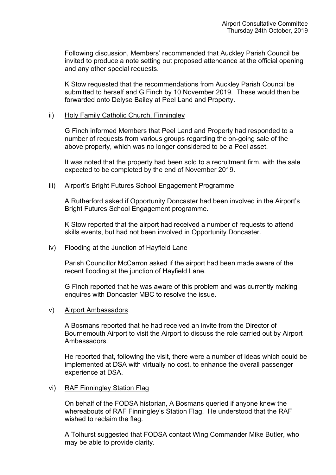Following discussion, Members' recommended that Auckley Parish Council be invited to produce a note setting out proposed attendance at the official opening and any other special requests.

K Stow requested that the recommendations from Auckley Parish Council be submitted to herself and G Finch by 10 November 2019. These would then be forwarded onto Delyse Bailey at Peel Land and Property.

#### ii) Holy Family Catholic Church, Finningley

G Finch informed Members that Peel Land and Property had responded to a number of requests from various groups regarding the on-going sale of the above property, which was no longer considered to be a Peel asset.

It was noted that the property had been sold to a recruitment firm, with the sale expected to be completed by the end of November 2019.

### iii) Airport's Bright Futures School Engagement Programme

A Rutherford asked if Opportunity Doncaster had been involved in the Airport's Bright Futures School Engagement programme.

K Stow reported that the airport had received a number of requests to attend skills events, but had not been involved in Opportunity Doncaster.

#### iv) Flooding at the Junction of Hayfield Lane

Parish Councillor McCarron asked if the airport had been made aware of the recent flooding at the junction of Hayfield Lane.

G Finch reported that he was aware of this problem and was currently making enquires with Doncaster MBC to resolve the issue.

#### v) Airport Ambassadors

A Bosmans reported that he had received an invite from the Director of Bournemouth Airport to visit the Airport to discuss the role carried out by Airport Ambassadors.

He reported that, following the visit, there were a number of ideas which could be implemented at DSA with virtually no cost, to enhance the overall passenger experience at DSA.

### vi) RAF Finningley Station Flag

On behalf of the FODSA historian, A Bosmans queried if anyone knew the whereabouts of RAF Finningley's Station Flag. He understood that the RAF wished to reclaim the flag.

A Tolhurst suggested that FODSA contact Wing Commander Mike Butler, who may be able to provide clarity.